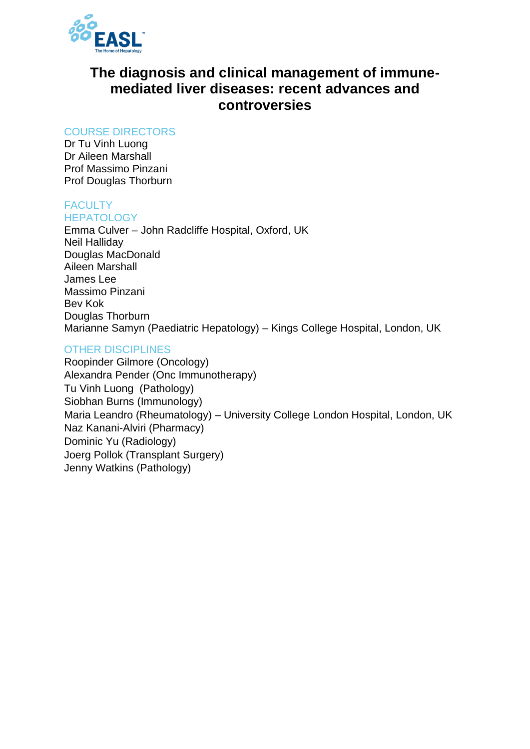

# **The diagnosis and clinical management of immunemediated liver diseases: recent advances and controversies**

### COURSE DIRECTORS

Dr Tu Vinh Luong Dr Aileen Marshall Prof Massimo Pinzani Prof Douglas Thorburn

#### **FACULTY HEPATOLOGY**

Emma Culver – John Radcliffe Hospital, Oxford, UK Neil Halliday Douglas MacDonald Aileen Marshall James Lee Massimo Pinzani Bev Kok Douglas Thorburn Marianne Samyn (Paediatric Hepatology) – Kings College Hospital, London, UK

## OTHER DISCIPLINES

Roopinder Gilmore (Oncology) Alexandra Pender (Onc Immunotherapy) Tu Vinh Luong (Pathology) Siobhan Burns (Immunology) Maria Leandro (Rheumatology) – University College London Hospital, London, UK Naz Kanani-Alviri (Pharmacy) Dominic Yu (Radiology) Joerg Pollok (Transplant Surgery) Jenny Watkins (Pathology)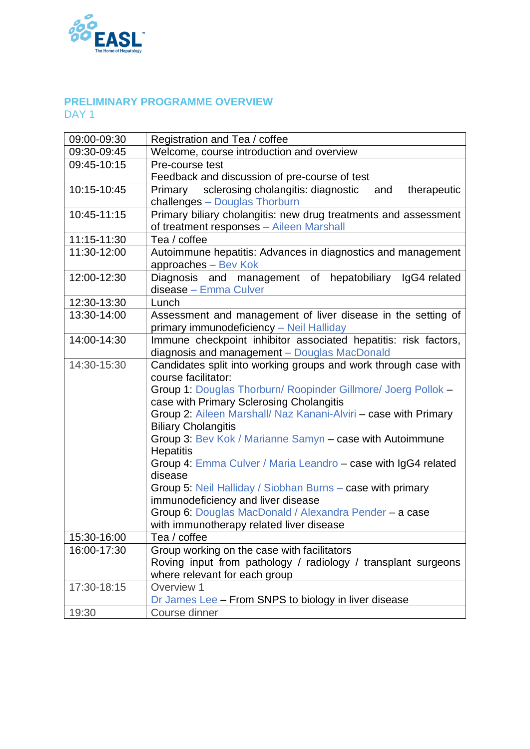

### **PRELIMINARY PROGRAMME OVERVIEW** DAY<sub>1</sub>

| 09:00-09:30 | Registration and Tea / coffee                                       |
|-------------|---------------------------------------------------------------------|
| 09:30-09:45 | Welcome, course introduction and overview                           |
| 09:45-10:15 | Pre-course test                                                     |
|             | Feedback and discussion of pre-course of test                       |
| 10:15-10:45 | sclerosing cholangitis: diagnostic<br>therapeutic<br>Primary<br>and |
|             | challenges - Douglas Thorburn                                       |
| 10:45-11:15 | Primary biliary cholangitis: new drug treatments and assessment     |
|             | of treatment responses - Aileen Marshall                            |
| 11:15-11:30 | Tea / coffee                                                        |
| 11:30-12:00 | Autoimmune hepatitis: Advances in diagnostics and management        |
|             | approaches - Bev Kok                                                |
| 12:00-12:30 | Diagnosis and management of hepatobiliary IgG4 related              |
|             | disease - Emma Culver                                               |
| 12:30-13:30 | Lunch                                                               |
| 13:30-14:00 | Assessment and management of liver disease in the setting of        |
|             | primary immunodeficiency - Neil Halliday                            |
| 14:00-14:30 | Immune checkpoint inhibitor associated hepatitis: risk factors,     |
|             | diagnosis and management - Douglas MacDonald                        |
| 14:30-15:30 | Candidates split into working groups and work through case with     |
|             | course facilitator:                                                 |
|             | Group 1: Douglas Thorburn/ Roopinder Gillmore/ Joerg Pollok -       |
|             | case with Primary Sclerosing Cholangitis                            |
|             | Group 2: Aileen Marshall/ Naz Kanani-Alviri - case with Primary     |
|             | <b>Biliary Cholangitis</b>                                          |
|             | Group 3: Bev Kok / Marianne Samyn - case with Autoimmune            |
|             | <b>Hepatitis</b>                                                    |
|             | Group 4: Emma Culver / Maria Leandro - case with IgG4 related       |
|             | disease                                                             |
|             | Group 5: Neil Halliday / Siobhan Burns - case with primary          |
|             | immunodeficiency and liver disease                                  |
|             | Group 6: Douglas MacDonald / Alexandra Pender - a case              |
|             | with immunotherapy related liver disease                            |
| 15:30-16:00 | Tea / coffee                                                        |
| 16:00-17:30 | Group working on the case with facilitators                         |
|             | Roving input from pathology / radiology / transplant surgeons       |
|             | where relevant for each group                                       |
| 17:30-18:15 | Overview 1                                                          |
|             | Dr James Lee - From SNPS to biology in liver disease                |
| 19:30       | Course dinner                                                       |